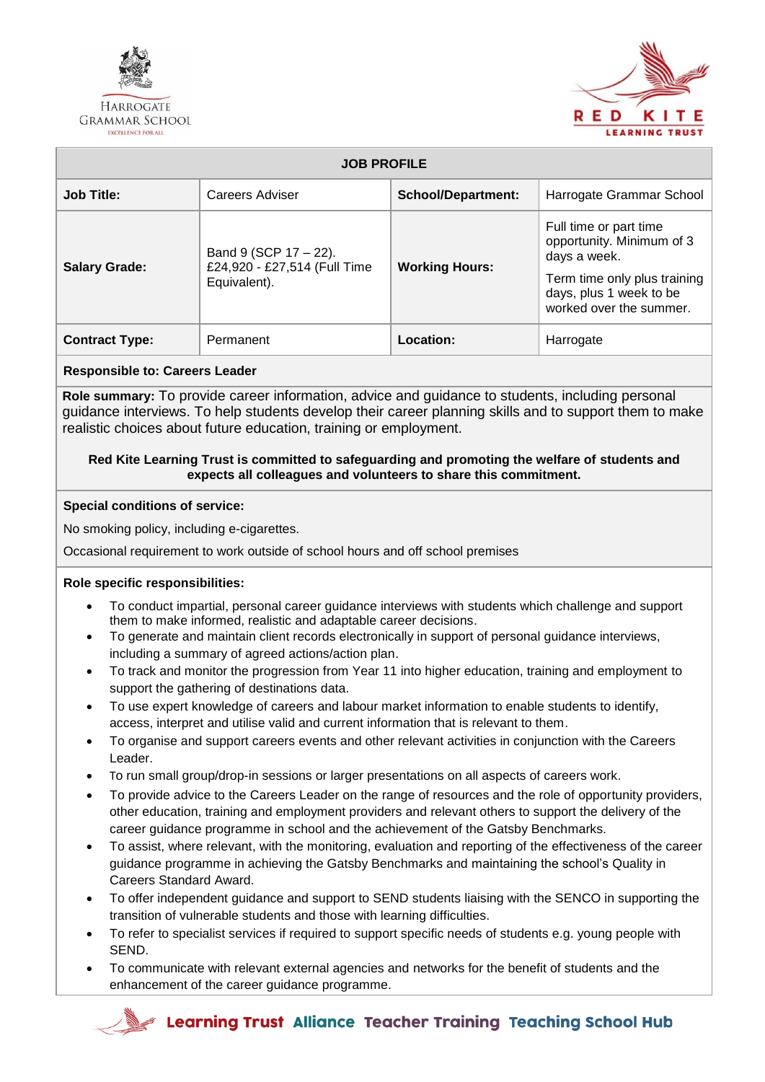

**HARROGATE GRAMMAR SCHOOL** EXCELLENCE FOR ALL



| <b>JOB PROFILE</b>    |                                                                          |                           |                                                                                    |  |  |
|-----------------------|--------------------------------------------------------------------------|---------------------------|------------------------------------------------------------------------------------|--|--|
| <b>Job Title:</b>     | Careers Adviser                                                          | <b>School/Department:</b> | Harrogate Grammar School                                                           |  |  |
| <b>Salary Grade:</b>  | Band 9 (SCP $17 - 22$ ).<br>£24,920 - £27,514 (Full Time<br>Equivalent). | <b>Working Hours:</b>     | Full time or part time<br>opportunity. Minimum of 3<br>days a week.                |  |  |
|                       |                                                                          |                           | Term time only plus training<br>days, plus 1 week to be<br>worked over the summer. |  |  |
| <b>Contract Type:</b> | Permanent                                                                | Location:                 | Harrogate                                                                          |  |  |

## **Responsible to: Careers Leader**

**Role summary:** To provide career information, advice and guidance to students, including personal guidance interviews. To help students develop their career planning skills and to support them to make realistic choices about future education, training or employment.

### **Red Kite Learning Trust is committed to safeguarding and promoting the welfare of students and expects all colleagues and volunteers to share this commitment.**

## **Special conditions of service:**

No smoking policy, including e-cigarettes.

Occasional requirement to work outside of school hours and off school premises

# **Role specific responsibilities:**

- To conduct impartial, personal career guidance interviews with students which challenge and support them to make informed, realistic and adaptable career decisions.
- To generate and maintain client records electronically in support of personal guidance interviews, including a summary of agreed actions/action plan.
- To track and monitor the progression from Year 11 into higher education, training and employment to support the gathering of destinations data.
- To use expert knowledge of careers and labour market information to enable students to identify, access, interpret and utilise valid and current information that is relevant to them.
- To organise and support careers events and other relevant activities in conjunction with the Careers Leader.
- To run small group/drop-in sessions or larger presentations on all aspects of careers work.
- To provide advice to the Careers Leader on the range of resources and the role of opportunity providers, other education, training and employment providers and relevant others to support the delivery of the career guidance programme in school and the achievement of the Gatsby Benchmarks.
- To assist, where relevant, with the monitoring, evaluation and reporting of the effectiveness of the career guidance programme in achieving the Gatsby Benchmarks and maintaining the school's Quality in Careers Standard Award.
- To offer independent guidance and support to SEND students liaising with the SENCO in supporting the transition of vulnerable students and those with learning difficulties.
- To refer to specialist services if required to support specific needs of students e.g. young people with SEND.
- To communicate with relevant external agencies and networks for the benefit of students and the enhancement of the career guidance programme.

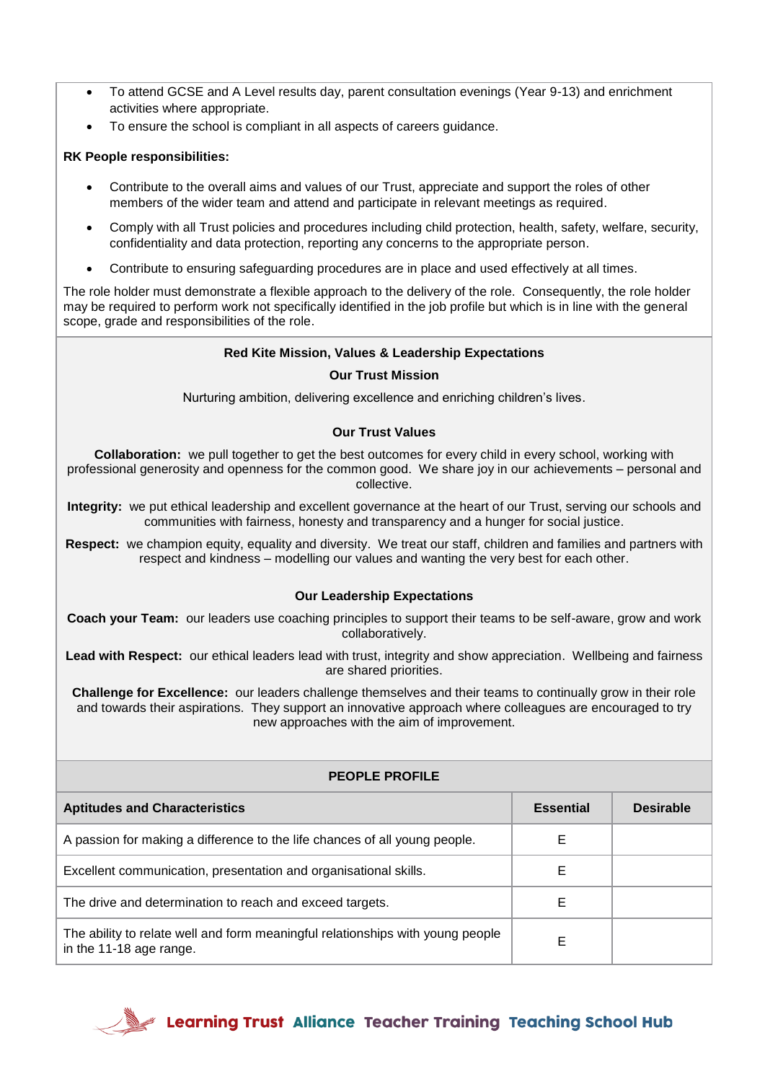- To attend GCSE and A Level results day, parent consultation evenings (Year 9-13) and enrichment activities where appropriate.
- To ensure the school is compliant in all aspects of careers guidance.

## **RK People responsibilities:**

- Contribute to the overall aims and values of our Trust, appreciate and support the roles of other members of the wider team and attend and participate in relevant meetings as required.
- Comply with all Trust policies and procedures including child protection, health, safety, welfare, security, confidentiality and data protection, reporting any concerns to the appropriate person.
- Contribute to ensuring safeguarding procedures are in place and used effectively at all times.

The role holder must demonstrate a flexible approach to the delivery of the role. Consequently, the role holder may be required to perform work not specifically identified in the job profile but which is in line with the general scope, grade and responsibilities of the role.

## **Red Kite Mission, Values & Leadership Expectations**

### **Our Trust Mission**

Nurturing ambition, delivering excellence and enriching children's lives.

## **Our Trust Values**

**Collaboration:** we pull together to get the best outcomes for every child in every school, working with professional generosity and openness for the common good. We share joy in our achievements – personal and collective.

**Integrity:** we put ethical leadership and excellent governance at the heart of our Trust, serving our schools and communities with fairness, honesty and transparency and a hunger for social justice.

**Respect:** we champion equity, equality and diversity. We treat our staff, children and families and partners with respect and kindness – modelling our values and wanting the very best for each other.

### **Our Leadership Expectations**

**Coach your Team:** our leaders use coaching principles to support their teams to be self-aware, grow and work collaboratively.

**Lead with Respect:** our ethical leaders lead with trust, integrity and show appreciation. Wellbeing and fairness are shared priorities.

**Challenge for Excellence:** our leaders challenge themselves and their teams to continually grow in their role and towards their aspirations. They support an innovative approach where colleagues are encouraged to try new approaches with the aim of improvement.

| <b>PEOPLE PROFILE</b>                                                                                     |                  |                  |  |  |
|-----------------------------------------------------------------------------------------------------------|------------------|------------------|--|--|
| <b>Aptitudes and Characteristics</b>                                                                      | <b>Essential</b> | <b>Desirable</b> |  |  |
| A passion for making a difference to the life chances of all young people.                                | E                |                  |  |  |
| Excellent communication, presentation and organisational skills.                                          | Е                |                  |  |  |
| The drive and determination to reach and exceed targets.                                                  | E                |                  |  |  |
| The ability to relate well and form meaningful relationships with young people<br>in the 11-18 age range. | E                |                  |  |  |